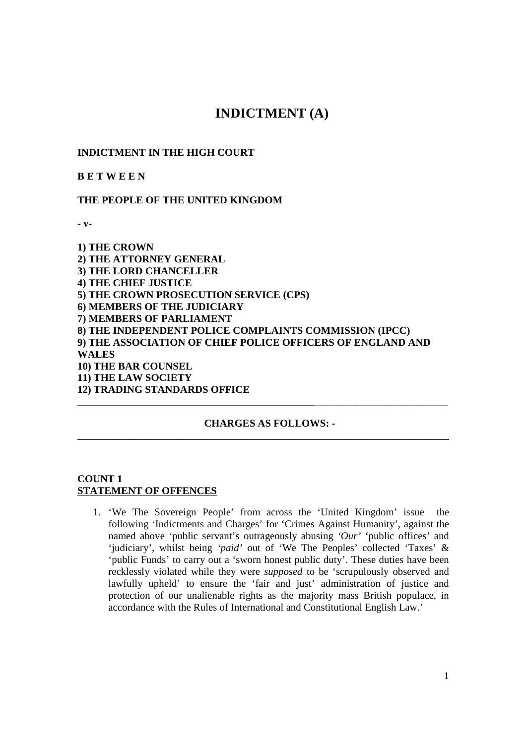# **INDICTMENT (A)**

### **INDICTMENT IN THE HIGH COURT**

**B E T W E E N** 

#### **THE PEOPLE OF THE UNITED KINGDOM**

**- v-**

**1) THE CROWN 2) THE ATTORNEY GENERAL 3) THE LORD CHANCELLER 4) THE CHIEF JUSTICE 5) THE CROWN PROSECUTION SERVICE (CPS) 6) MEMBERS OF THE JUDICIARY 7) MEMBERS OF PARLIAMENT 8) THE INDEPENDENT POLICE COMPLAINTS COMMISSION (IPCC) 9) THE ASSOCIATION OF CHIEF POLICE OFFICERS OF ENGLAND AND WALES 10) THE BAR COUNSEL 11) THE LAW SOCIETY 12) TRADING STANDARDS OFFICE**  \_\_\_\_\_\_\_\_\_\_\_\_\_\_\_\_\_\_\_\_\_\_\_\_\_\_\_\_\_\_\_\_\_\_\_\_\_\_\_\_\_\_\_\_\_\_\_\_\_\_\_\_\_\_\_\_\_\_\_\_\_\_\_\_\_\_\_\_\_\_\_\_\_\_\_\_\_\_\_\_\_

#### **CHARGES AS FOLLOWS: -**

**\_\_\_\_\_\_\_\_\_\_\_\_\_\_\_\_\_\_\_\_\_\_\_\_\_\_\_\_\_\_\_\_\_\_\_\_\_\_\_\_\_\_\_\_\_\_\_\_\_\_\_\_\_\_\_\_\_\_\_\_\_\_\_\_\_\_\_\_\_\_\_\_** 

### **COUNT 1 STATEMENT OF OFFENCES**

1. 'We The Sovereign People' from across the 'United Kingdom' issue the following 'Indictments and Charges' for 'Crimes Against Humanity', against the named above 'public servant's outrageously abusing 'Our' 'public offices' and 'judiciary', whilst being *'paid'* out of 'We The Peoples' collected 'Taxes' & 'public Funds' to carry out a 'sworn honest public duty'. These duties have been recklessly violated while they were *supposed* to be 'scrupulously observed and lawfully upheld' to ensure the 'fair and just' administration of justice and protection of our unalienable rights as the majority mass British populace, in accordance with the Rules of International and Constitutional English Law.'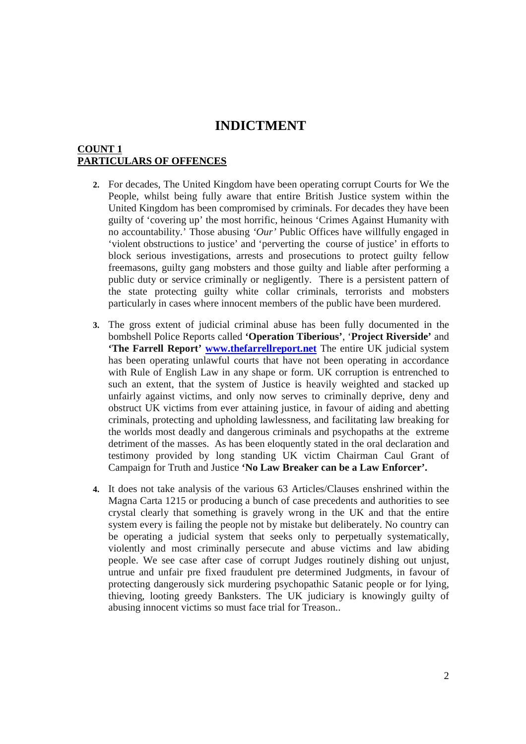### **COUNT 1 PARTICULARS OF OFFENCES**

- **2.** For decades, The United Kingdom have been operating corrupt Courts for We the People, whilst being fully aware that entire British Justice system within the United Kingdom has been compromised by criminals. For decades they have been guilty of 'covering up' the most horrific, heinous 'Crimes Against Humanity with no accountability.' Those abusing *'Our'* Public Offices have willfully engaged in 'violent obstructions to justice' and 'perverting the course of justice' in efforts to block serious investigations, arrests and prosecutions to protect guilty fellow freemasons, guilty gang mobsters and those guilty and liable after performing a public duty or service criminally or negligently. There is a persistent pattern of the state protecting guilty white collar criminals, terrorists and mobsters particularly in cases where innocent members of the public have been murdered.
- **3.** The gross extent of judicial criminal abuse has been fully documented in the bombshell Police Reports called **'Operation Tiberious'**, '**Project Riverside'** and **'The Farrell Report' www.thefarrellreport.net** The entire UK judicial system has been operating unlawful courts that have not been operating in accordance with Rule of English Law in any shape or form. UK corruption is entrenched to such an extent, that the system of Justice is heavily weighted and stacked up unfairly against victims, and only now serves to criminally deprive, deny and obstruct UK victims from ever attaining justice, in favour of aiding and abetting criminals, protecting and upholding lawlessness, and facilitating law breaking for the worlds most deadly and dangerous criminals and psychopaths at the extreme detriment of the masses. As has been eloquently stated in the oral declaration and testimony provided by long standing UK victim Chairman Caul Grant of Campaign for Truth and Justice **'No Law Breaker can be a Law Enforcer'.**
- **4.** It does not take analysis of the various 63 Articles/Clauses enshrined within the Magna Carta 1215 or producing a bunch of case precedents and authorities to see crystal clearly that something is gravely wrong in the UK and that the entire system every is failing the people not by mistake but deliberately. No country can be operating a judicial system that seeks only to perpetually systematically, violently and most criminally persecute and abuse victims and law abiding people. We see case after case of corrupt Judges routinely dishing out unjust, untrue and unfair pre fixed fraudulent pre determined Judgments, in favour of protecting dangerously sick murdering psychopathic Satanic people or for lying, thieving, looting greedy Banksters. The UK judiciary is knowingly guilty of abusing innocent victims so must face trial for Treason..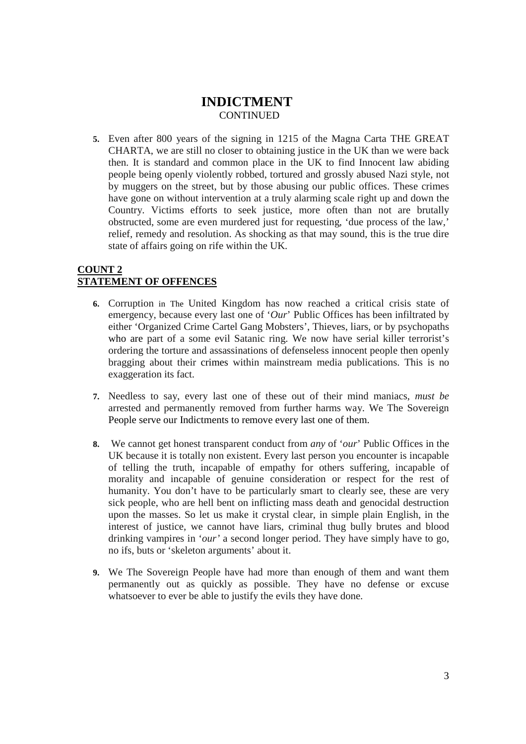**5.** Even after 800 years of the signing in 1215 of the Magna Carta THE GREAT CHARTA, we are still no closer to obtaining justice in the UK than we were back then. It is standard and common place in the UK to find Innocent law abiding people being openly violently robbed, tortured and grossly abused Nazi style, not by muggers on the street, but by those abusing our public offices. These crimes have gone on without intervention at a truly alarming scale right up and down the Country. Victims efforts to seek justice, more often than not are brutally obstructed, some are even murdered just for requesting, 'due process of the law,' relief, remedy and resolution. As shocking as that may sound, this is the true dire state of affairs going on rife within the UK.

### **COUNT 2 STATEMENT OF OFFENCES**

- **6.** Corruption in The United Kingdom has now reached a critical crisis state of emergency, because every last one of '*Our*' Public Offices has been infiltrated by either 'Organized Crime Cartel Gang Mobsters', Thieves, liars, or by psychopaths who are part of a some evil Satanic ring. We now have serial killer terrorist's ordering the torture and assassinations of defenseless innocent people then openly bragging about their crimes within mainstream media publications. This is no exaggeration its fact.
- **7.** Needless to say, every last one of these out of their mind maniacs, *must be* arrested and permanently removed from further harms way. We The Sovereign People serve our Indictments to remove every last one of them.
- **8.** We cannot get honest transparent conduct from *any* of '*our*' Public Offices in the UK because it is totally non existent. Every last person you encounter is incapable of telling the truth, incapable of empathy for others suffering, incapable of morality and incapable of genuine consideration or respect for the rest of humanity. You don't have to be particularly smart to clearly see, these are very sick people, who are hell bent on inflicting mass death and genocidal destruction upon the masses. So let us make it crystal clear, in simple plain English, in the interest of justice, we cannot have liars, criminal thug bully brutes and blood drinking vampires in '*our'* a second longer period. They have simply have to go, no ifs, buts or 'skeleton arguments' about it.
- **9.** We The Sovereign People have had more than enough of them and want them permanently out as quickly as possible. They have no defense or excuse whatsoever to ever be able to justify the evils they have done.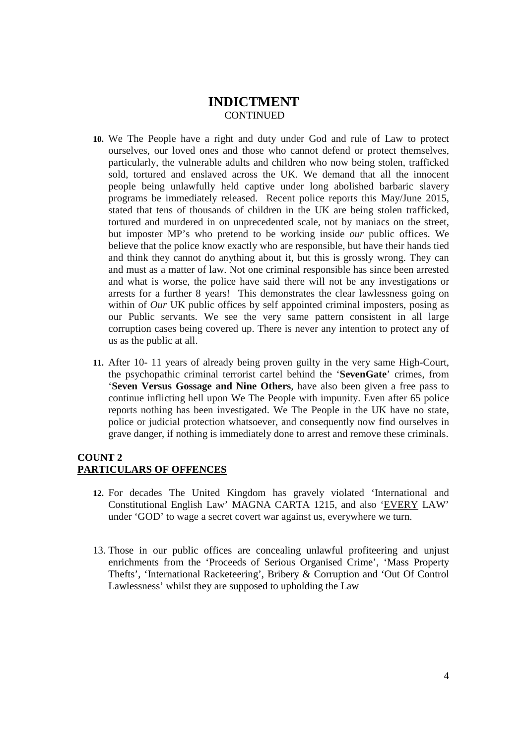- **10.** We The People have a right and duty under God and rule of Law to protect ourselves, our loved ones and those who cannot defend or protect themselves, particularly, the vulnerable adults and children who now being stolen, trafficked sold, tortured and enslaved across the UK. We demand that all the innocent people being unlawfully held captive under long abolished barbaric slavery programs be immediately released. Recent police reports this May/June 2015, stated that tens of thousands of children in the UK are being stolen trafficked, tortured and murdered in on unprecedented scale, not by maniacs on the street, but imposter MP's who pretend to be working inside *our* public offices. We believe that the police know exactly who are responsible, but have their hands tied and think they cannot do anything about it, but this is grossly wrong. They can and must as a matter of law. Not one criminal responsible has since been arrested and what is worse, the police have said there will not be any investigations or arrests for a further 8 years! This demonstrates the clear lawlessness going on within of *Our* UK public offices by self appointed criminal imposters, posing as our Public servants. We see the very same pattern consistent in all large corruption cases being covered up. There is never any intention to protect any of us as the public at all.
- **11.** After 10- 11 years of already being proven guilty in the very same High-Court, the psychopathic criminal terrorist cartel behind the '**SevenGate**' crimes, from '**Seven Versus Gossage and Nine Others**, have also been given a free pass to continue inflicting hell upon We The People with impunity. Even after 65 police reports nothing has been investigated. We The People in the UK have no state, police or judicial protection whatsoever, and consequently now find ourselves in grave danger, if nothing is immediately done to arrest and remove these criminals.

#### **COUNT 2 PARTICULARS OF OFFENCES**

- **12.** For decades The United Kingdom has gravely violated 'International and Constitutional English Law' MAGNA CARTA 1215, and also 'EVERY LAW' under 'GOD' to wage a secret covert war against us, everywhere we turn.
- 13. Those in our public offices are concealing unlawful profiteering and unjust enrichments from the 'Proceeds of Serious Organised Crime', 'Mass Property Thefts', 'International Racketeering', Bribery & Corruption and 'Out Of Control Lawlessness' whilst they are supposed to upholding the Law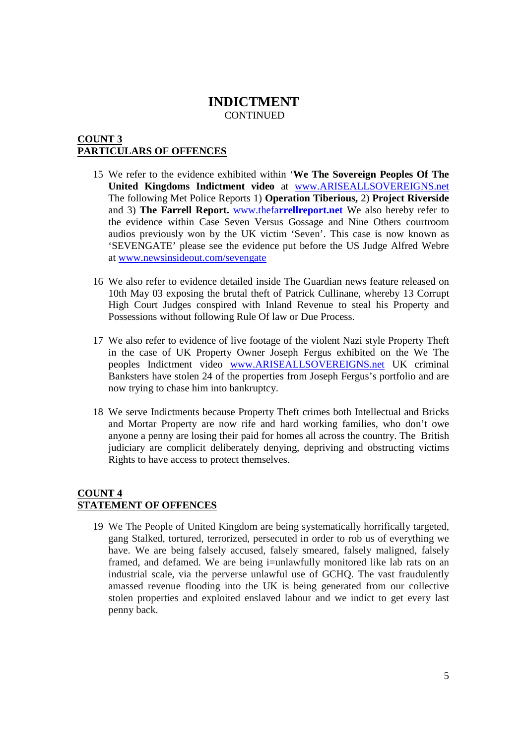### **COUNT 3 PARTICULARS OF OFFENCES**

- 15 We refer to the evidence exhibited within '**We The Sovereign Peoples Of The United Kingdoms Indictment video** at www.ARISEALLSOVEREIGNS.net The following Met Police Reports 1) **Operation Tiberious,** 2) **Project Riverside** and 3) **The Farrell Report.** www.thefa**rrellreport.net** We also hereby refer to the evidence within Case Seven Versus Gossage and Nine Others courtroom audios previously won by the UK victim 'Seven'. This case is now known as 'SEVENGATE' please see the evidence put before the US Judge Alfred Webre at www.newsinsideout.com/sevengate
- 16 We also refer to evidence detailed inside The Guardian news feature released on 10th May 03 exposing the brutal theft of Patrick Cullinane, whereby 13 Corrupt High Court Judges conspired with Inland Revenue to steal his Property and Possessions without following Rule Of law or Due Process.
- 17 We also refer to evidence of live footage of the violent Nazi style Property Theft in the case of UK Property Owner Joseph Fergus exhibited on the We The peoples Indictment video www.ARISEALLSOVEREIGNS.net UK criminal Banksters have stolen 24 of the properties from Joseph Fergus's portfolio and are now trying to chase him into bankruptcy.
- 18 We serve Indictments because Property Theft crimes both Intellectual and Bricks and Mortar Property are now rife and hard working families, who don't owe anyone a penny are losing their paid for homes all across the country. The British judiciary are complicit deliberately denying, depriving and obstructing victims Rights to have access to protect themselves.

### **COUNT 4 STATEMENT OF OFFENCES**

19 We The People of United Kingdom are being systematically horrifically targeted, gang Stalked, tortured, terrorized, persecuted in order to rob us of everything we have. We are being falsely accused, falsely smeared, falsely maligned, falsely framed, and defamed. We are being i=unlawfully monitored like lab rats on an industrial scale, via the perverse unlawful use of GCHQ. The vast fraudulently amassed revenue flooding into the UK is being generated from our collective stolen properties and exploited enslaved labour and we indict to get every last penny back.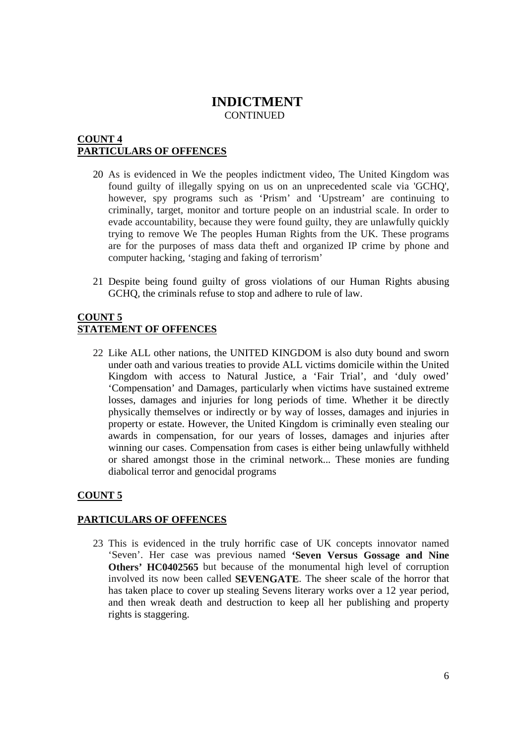### **COUNT 4 PARTICULARS OF OFFENCES**

- 20 As is evidenced in We the peoples indictment video, The United Kingdom was found guilty of illegally spying on us on an unprecedented scale via 'GCHQ', however, spy programs such as 'Prism' and 'Upstream' are continuing to criminally, target, monitor and torture people on an industrial scale. In order to evade accountability, because they were found guilty, they are unlawfully quickly trying to remove We The peoples Human Rights from the UK. These programs are for the purposes of mass data theft and organized IP crime by phone and computer hacking, 'staging and faking of terrorism'
- 21 Despite being found guilty of gross violations of our Human Rights abusing GCHQ, the criminals refuse to stop and adhere to rule of law.

### **COUNT 5 STATEMENT OF OFFENCES**

22 Like ALL other nations, the UNITED KINGDOM is also duty bound and sworn under oath and various treaties to provide ALL victims domicile within the United Kingdom with access to Natural Justice, a 'Fair Trial', and 'duly owed' 'Compensation' and Damages, particularly when victims have sustained extreme losses, damages and injuries for long periods of time. Whether it be directly physically themselves or indirectly or by way of losses, damages and injuries in property or estate. However, the United Kingdom is criminally even stealing our awards in compensation, for our years of losses, damages and injuries after winning our cases. Compensation from cases is either being unlawfully withheld or shared amongst those in the criminal network... These monies are funding diabolical terror and genocidal programs

# **COUNT 5**

### **PARTICULARS OF OFFENCES**

23 This is evidenced in the truly horrific case of UK concepts innovator named 'Seven'. Her case was previous named **'Seven Versus Gossage and Nine Others' HC0402565** but because of the monumental high level of corruption involved its now been called **SEVENGATE**. The sheer scale of the horror that has taken place to cover up stealing Sevens literary works over a 12 year period, and then wreak death and destruction to keep all her publishing and property rights is staggering.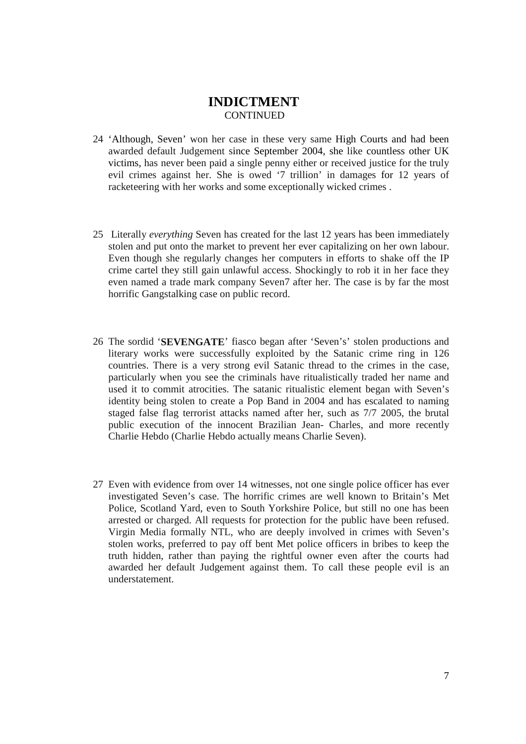- 24 'Although, Seven' won her case in these very same High Courts and had been awarded default Judgement since September 2004, she like countless other UK victims, has never been paid a single penny either or received justice for the truly evil crimes against her. She is owed '7 trillion' in damages for 12 years of racketeering with her works and some exceptionally wicked crimes .
- 25 Literally *everything* Seven has created for the last 12 years has been immediately stolen and put onto the market to prevent her ever capitalizing on her own labour. Even though she regularly changes her computers in efforts to shake off the IP crime cartel they still gain unlawful access. Shockingly to rob it in her face they even named a trade mark company Seven7 after her. The case is by far the most horrific Gangstalking case on public record.
- 26 The sordid '**SEVENGATE**' fiasco began after 'Seven's' stolen productions and literary works were successfully exploited by the Satanic crime ring in 126 countries. There is a very strong evil Satanic thread to the crimes in the case, particularly when you see the criminals have ritualistically traded her name and used it to commit atrocities. The satanic ritualistic element began with Seven's identity being stolen to create a Pop Band in 2004 and has escalated to naming staged false flag terrorist attacks named after her, such as 7/7 2005, the brutal public execution of the innocent Brazilian Jean- Charles, and more recently Charlie Hebdo (Charlie Hebdo actually means Charlie Seven).
- 27 Even with evidence from over 14 witnesses, not one single police officer has ever investigated Seven's case. The horrific crimes are well known to Britain's Met Police, Scotland Yard, even to South Yorkshire Police, but still no one has been arrested or charged. All requests for protection for the public have been refused. Virgin Media formally NTL, who are deeply involved in crimes with Seven's stolen works, preferred to pay off bent Met police officers in bribes to keep the truth hidden, rather than paying the rightful owner even after the courts had awarded her default Judgement against them. To call these people evil is an understatement.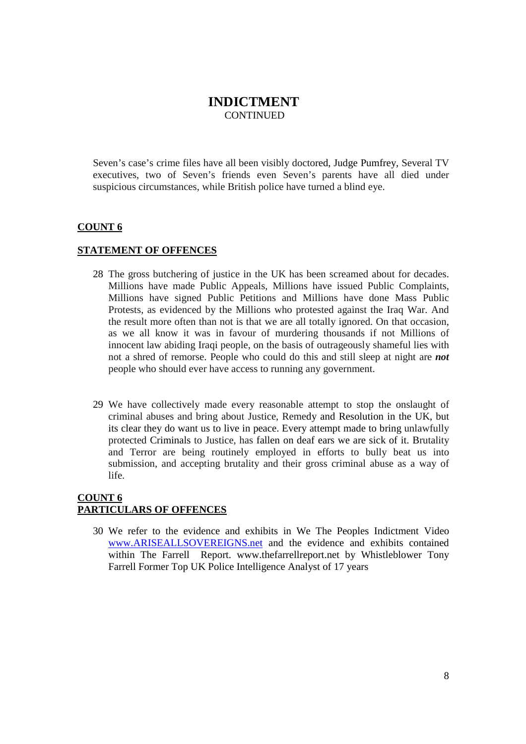Seven's case's crime files have all been visibly doctored, Judge Pumfrey, Several TV executives, two of Seven's friends even Seven's parents have all died under suspicious circumstances, while British police have turned a blind eye.

#### **COUNT 6**

#### **STATEMENT OF OFFENCES**

- 28 The gross butchering of justice in the UK has been screamed about for decades. Millions have made Public Appeals, Millions have issued Public Complaints, Millions have signed Public Petitions and Millions have done Mass Public Protests, as evidenced by the Millions who protested against the Iraq War. And the result more often than not is that we are all totally ignored. On that occasion, as we all know it was in favour of murdering thousands if not Millions of innocent law abiding Iraqi people, on the basis of outrageously shameful lies with not a shred of remorse. People who could do this and still sleep at night are *not* people who should ever have access to running any government.
- 29 We have collectively made every reasonable attempt to stop the onslaught of criminal abuses and bring about Justice, Remedy and Resolution in the UK, but its clear they do want us to live in peace. Every attempt made to bring unlawfully protected Criminals to Justice, has fallen on deaf ears we are sick of it. Brutality and Terror are being routinely employed in efforts to bully beat us into submission, and accepting brutality and their gross criminal abuse as a way of life.

### **COUNT 6 PARTICULARS OF OFFENCES**

30 We refer to the evidence and exhibits in We The Peoples Indictment Video www.ARISEALLSOVEREIGNS.net and the evidence and exhibits contained within The Farrell Report. www.thefarrellreport.net by Whistleblower Tony Farrell Former Top UK Police Intelligence Analyst of 17 years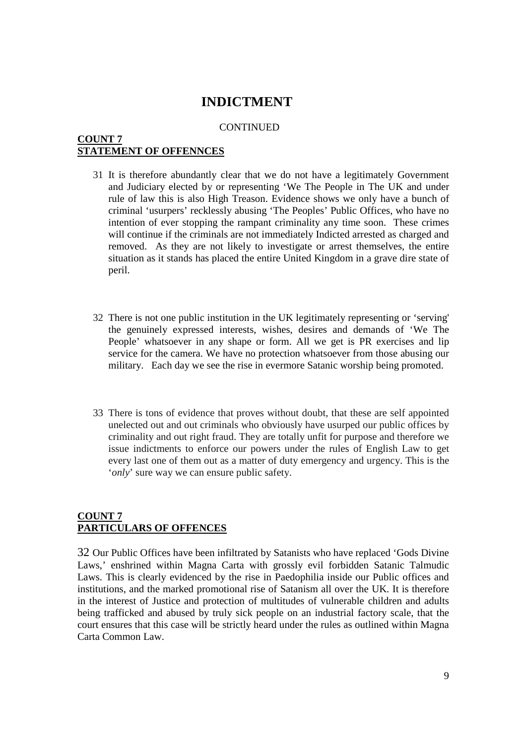#### **CONTINUED**

### **COUNT 7 STATEMENT OF OFFENNCES**

- 31 It is therefore abundantly clear that we do not have a legitimately Government and Judiciary elected by or representing 'We The People in The UK and under rule of law this is also High Treason. Evidence shows we only have a bunch of criminal 'usurpers' recklessly abusing 'The Peoples' Public Offices, who have no intention of ever stopping the rampant criminality any time soon. These crimes will continue if the criminals are not immediately Indicted arrested as charged and removed. As they are not likely to investigate or arrest themselves, the entire situation as it stands has placed the entire United Kingdom in a grave dire state of peril.
- 32 There is not one public institution in the UK legitimately representing or 'serving' the genuinely expressed interests, wishes, desires and demands of 'We The People' whatsoever in any shape or form. All we get is PR exercises and lip service for the camera. We have no protection whatsoever from those abusing our military. Each day we see the rise in evermore Satanic worship being promoted.
- 33 There is tons of evidence that proves without doubt, that these are self appointed unelected out and out criminals who obviously have usurped our public offices by criminality and out right fraud. They are totally unfit for purpose and therefore we issue indictments to enforce our powers under the rules of English Law to get every last one of them out as a matter of duty emergency and urgency. This is the '*only*' sure way we can ensure public safety.

### **COUNT 7 PARTICULARS OF OFFENCES**

32 Our Public Offices have been infiltrated by Satanists who have replaced 'Gods Divine Laws,' enshrined within Magna Carta with grossly evil forbidden Satanic Talmudic Laws. This is clearly evidenced by the rise in Paedophilia inside our Public offices and institutions, and the marked promotional rise of Satanism all over the UK. It is therefore in the interest of Justice and protection of multitudes of vulnerable children and adults being trafficked and abused by truly sick people on an industrial factory scale, that the court ensures that this case will be strictly heard under the rules as outlined within Magna Carta Common Law.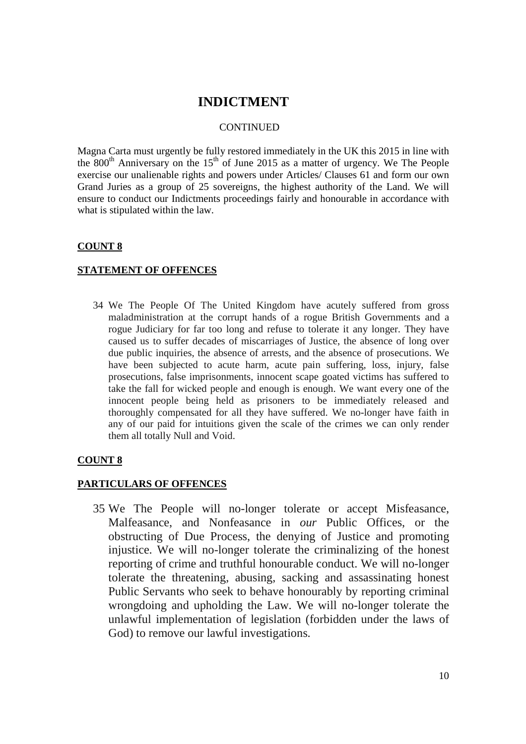#### **CONTINUED**

Magna Carta must urgently be fully restored immediately in the UK this 2015 in line with the  $800<sup>th</sup>$  Anniversary on the  $15<sup>th</sup>$  of June 2015 as a matter of urgency. We The People exercise our unalienable rights and powers under Articles/ Clauses 61 and form our own Grand Juries as a group of 25 sovereigns, the highest authority of the Land. We will ensure to conduct our Indictments proceedings fairly and honourable in accordance with what is stipulated within the law.

### **COUNT 8**

### **STATEMENT OF OFFENCES**

34 We The People Of The United Kingdom have acutely suffered from gross maladministration at the corrupt hands of a rogue British Governments and a rogue Judiciary for far too long and refuse to tolerate it any longer. They have caused us to suffer decades of miscarriages of Justice, the absence of long over due public inquiries, the absence of arrests, and the absence of prosecutions. We have been subjected to acute harm, acute pain suffering, loss, injury, false prosecutions, false imprisonments, innocent scape goated victims has suffered to take the fall for wicked people and enough is enough. We want every one of the innocent people being held as prisoners to be immediately released and thoroughly compensated for all they have suffered. We no-longer have faith in any of our paid for intuitions given the scale of the crimes we can only render them all totally Null and Void.

### **COUNT 8**

### **PARTICULARS OF OFFENCES**

35 We The People will no-longer tolerate or accept Misfeasance, Malfeasance, and Nonfeasance in *our* Public Offices, or the obstructing of Due Process, the denying of Justice and promoting injustice. We will no-longer tolerate the criminalizing of the honest reporting of crime and truthful honourable conduct. We will no-longer tolerate the threatening, abusing, sacking and assassinating honest Public Servants who seek to behave honourably by reporting criminal wrongdoing and upholding the Law. We will no-longer tolerate the unlawful implementation of legislation (forbidden under the laws of God) to remove our lawful investigations.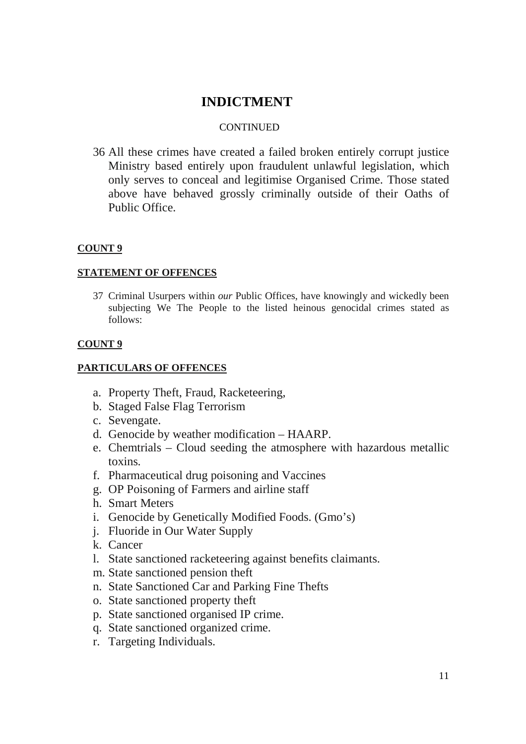### **CONTINUED**

36 All these crimes have created a failed broken entirely corrupt justice Ministry based entirely upon fraudulent unlawful legislation, which only serves to conceal and legitimise Organised Crime. Those stated above have behaved grossly criminally outside of their Oaths of Public Office.

## **COUNT 9**

## **STATEMENT OF OFFENCES**

37 Criminal Usurpers within *our* Public Offices, have knowingly and wickedly been subjecting We The People to the listed heinous genocidal crimes stated as follows:

### **COUNT 9**

### **PARTICULARS OF OFFENCES**

- a. Property Theft, Fraud, Racketeering,
- b. Staged False Flag Terrorism
- c. Sevengate.
- d. Genocide by weather modification HAARP.
- e. Chemtrials Cloud seeding the atmosphere with hazardous metallic toxins.
- f. Pharmaceutical drug poisoning and Vaccines
- g. OP Poisoning of Farmers and airline staff
- h. Smart Meters
- i. Genocide by Genetically Modified Foods. (Gmo's)
- j. Fluoride in Our Water Supply
- k. Cancer
- l. State sanctioned racketeering against benefits claimants.
- m. State sanctioned pension theft
- n. State Sanctioned Car and Parking Fine Thefts
- o. State sanctioned property theft
- p. State sanctioned organised IP crime.
- q. State sanctioned organized crime.
- r. Targeting Individuals.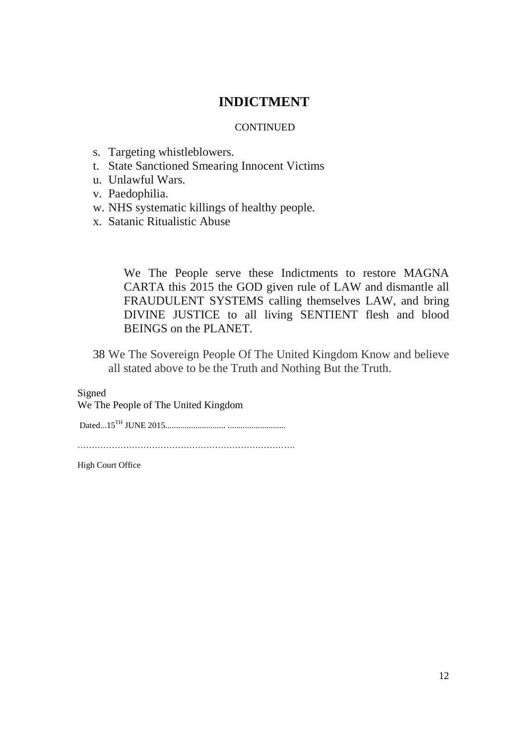### **CONTINUED**

- s. Targeting whistleblowers.
- t. State Sanctioned Smearing Innocent Victims
- u. Unlawful Wars.
- v. Paedophilia.
- w. NHS systematic killings of healthy people.
- x. Satanic Ritualistic Abuse

We The People serve these Indictments to restore MAGNA CARTA this 2015 the GOD given rule of LAW and dismantle all FRAUDULENT SYSTEMS calling themselves LAW, and bring DIVINE JUSTICE to all living SENTIENT flesh and blood BEINGS on the PLANET.

38 We The Sovereign People Of The United Kingdom Know and believe all stated above to be the Truth and Nothing But the Truth.

Signed

We The People of The United Kingdom

Dated...15TH JUNE 2015............................ ...........................

………………………………………………………………….

High Court Office